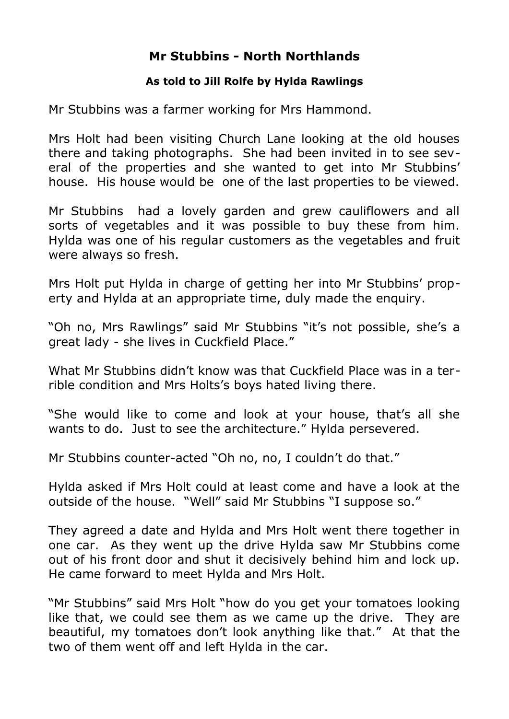## **Mr Stubbins - North Northlands**

## **As told to Jill Rolfe by Hylda Rawlings**

Mr Stubbins was a farmer working for Mrs Hammond.

Mrs Holt had been visiting Church Lane looking at the old houses there and taking photographs. She had been invited in to see several of the properties and she wanted to get into Mr Stubbins' house. His house would be one of the last properties to be viewed.

Mr Stubbins had a lovely garden and grew cauliflowers and all sorts of vegetables and it was possible to buy these from him. Hylda was one of his regular customers as the vegetables and fruit were always so fresh.

Mrs Holt put Hylda in charge of getting her into Mr Stubbins' property and Hylda at an appropriate time, duly made the enquiry.

"Oh no, Mrs Rawlings" said Mr Stubbins "it's not possible, she's a great lady - she lives in Cuckfield Place."

What Mr Stubbins didn't know was that Cuckfield Place was in a terrible condition and Mrs Holts's boys hated living there.

"She would like to come and look at your house, that's all she wants to do. Just to see the architecture." Hylda persevered.

Mr Stubbins counter-acted "Oh no, no, I couldn't do that."

Hylda asked if Mrs Holt could at least come and have a look at the outside of the house. "Well" said Mr Stubbins "I suppose so."

They agreed a date and Hylda and Mrs Holt went there together in one car. As they went up the drive Hylda saw Mr Stubbins come out of his front door and shut it decisively behind him and lock up. He came forward to meet Hylda and Mrs Holt.

"Mr Stubbins" said Mrs Holt "how do you get your tomatoes looking like that, we could see them as we came up the drive. They are beautiful, my tomatoes don't look anything like that." At that the two of them went off and left Hylda in the car.